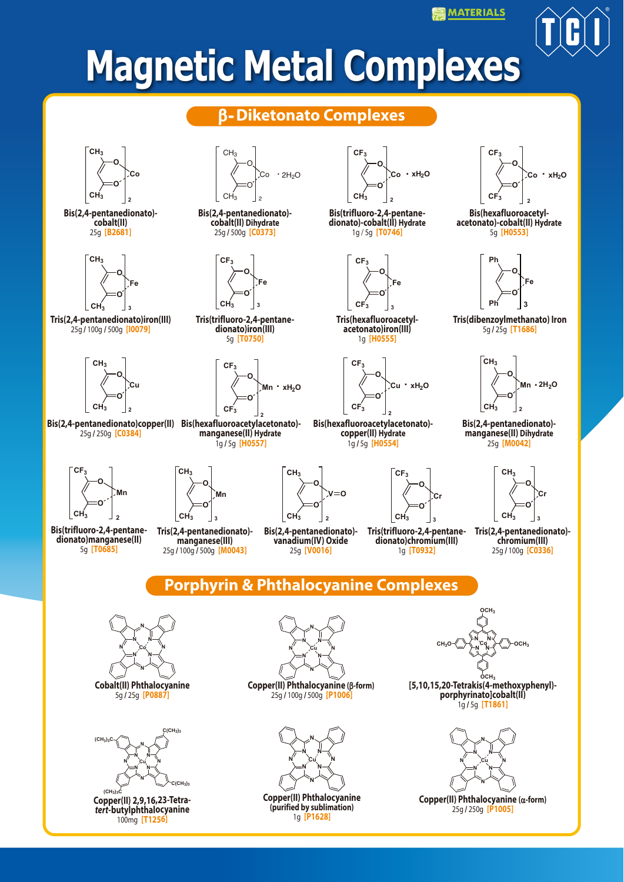**MATERIALS** 

# **Magnetic Metal Complexes**

#### β**-Diketonato Complexes**